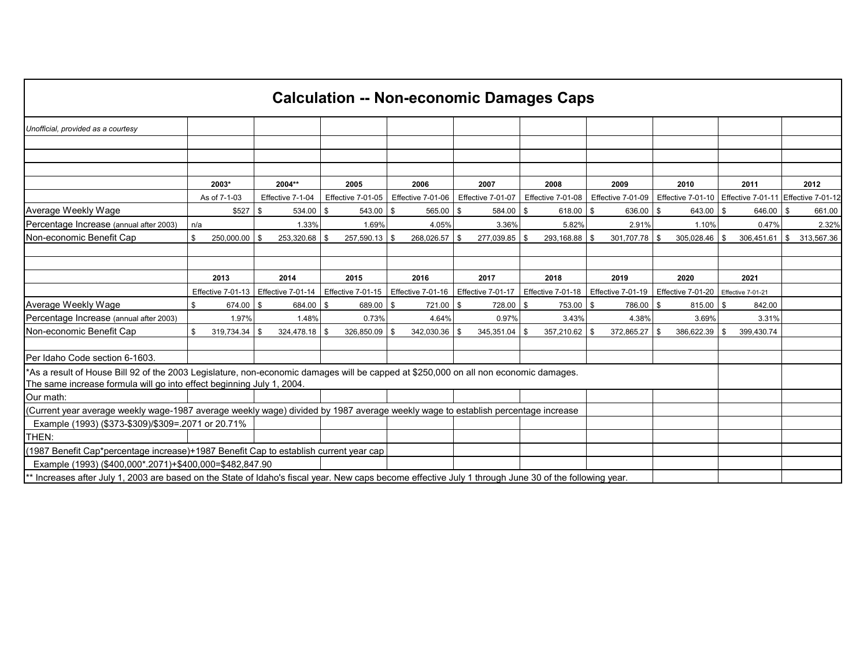| <b>Calculation -- Non-economic Damages Caps</b>                                                                                                                                                               |     |                   |      |                   |      |                   |  |                   |      |                   |    |                      |                   |                       |                                                           |                  |
|---------------------------------------------------------------------------------------------------------------------------------------------------------------------------------------------------------------|-----|-------------------|------|-------------------|------|-------------------|--|-------------------|------|-------------------|----|----------------------|-------------------|-----------------------|-----------------------------------------------------------|------------------|
| Unofficial, provided as a courtesy                                                                                                                                                                            |     |                   |      |                   |      |                   |  |                   |      |                   |    |                      |                   |                       |                                                           |                  |
|                                                                                                                                                                                                               |     |                   |      |                   |      |                   |  |                   |      |                   |    |                      |                   |                       |                                                           |                  |
|                                                                                                                                                                                                               |     |                   |      |                   |      |                   |  |                   |      |                   |    |                      |                   |                       |                                                           |                  |
|                                                                                                                                                                                                               |     |                   |      |                   |      |                   |  |                   |      |                   |    |                      |                   |                       |                                                           |                  |
|                                                                                                                                                                                                               |     | 2003*             |      | 2004**            |      | 2005              |  | 2006              |      | 2007              |    | 2008                 | 2009              | 2010                  | 2011                                                      | 2012             |
|                                                                                                                                                                                                               |     | As of 7-1-03      |      | Effective 7-1-04  |      | Effective 7-01-05 |  | Effective 7-01-06 |      | Effective 7-01-07 |    | Effective 7-01-08    | Effective 7-01-09 |                       | Effective 7-01-10   Effective 7-01-11   Effective 7-01-12 |                  |
| Average Weekly Wage                                                                                                                                                                                           |     | \$527             | \$   | 534.00            | -\$  | $543.00$ \\$      |  | $565.00$ \$       |      | 584.00 \$         |    | 618.00 $\frac{1}{9}$ | 636.00 \$         | $643.00$ \$           | $646.00$ \$                                               | 661.00           |
| Percentage Increase (annual after 2003)                                                                                                                                                                       | n/a |                   |      | 1.33%             |      | 1.69%             |  | 4.05%             |      | 3.36%             |    | 5.82%                | 2.91%             | 1.10%                 | 0.47%                                                     | 2.32%            |
| Non-economic Benefit Cap                                                                                                                                                                                      | \$  | 250,000.00        | \$   | 253,320.68 \$     |      | 257,590.13 \$     |  | 268,026.57        | - \$ | 277,039.85 \$     |    | 293,168.88 \$        | 301,707.78 \$     | $305,028.46$ \$       | 306,451.61                                                | \$<br>313,567.36 |
|                                                                                                                                                                                                               |     |                   |      |                   |      |                   |  |                   |      |                   |    |                      |                   |                       |                                                           |                  |
|                                                                                                                                                                                                               |     |                   |      |                   |      |                   |  |                   |      |                   |    |                      |                   |                       |                                                           |                  |
|                                                                                                                                                                                                               |     | 2013              |      | 2014              |      | 2015              |  | 2016              |      | 2017              |    | 2018                 | 2019              | 2020                  | 2021                                                      |                  |
|                                                                                                                                                                                                               |     | Effective 7-01-13 |      | Effective 7-01-14 |      | Effective 7-01-15 |  | Effective 7-01-16 |      | Effective 7-01-17 |    | Effective 7-01-18    | Effective 7-01-19 | Effective 7-01-20     | <b>Effective 7-01-21</b>                                  |                  |
| Average Weekly Wage                                                                                                                                                                                           | \$  | 674.00            | \$   | 684.00            | \$   | 689.00 \$         |  | 721.00 \$         |      | $728.00$ \$       |    | $753.00$ \$          | 786.00 \$         | $815.00$ \$           | 842.00                                                    |                  |
| Percentage Increase (annual after 2003)                                                                                                                                                                       |     | 1.97%             |      | 1.48%             |      | 0.73%             |  | 4.64%             |      | 0.97%             |    | 3.43%                | 4.38%             | 3.69%                 | 3.31%                                                     |                  |
| Non-economic Benefit Cap                                                                                                                                                                                      | \$  | 319,734.34        | - \$ | 324,478.18        | - \$ | 326,850.09 \$     |  | 342,030.36        | -\$  | 345,351.04        | \$ | $357,210.62$ \$      | 372,865.27        | \$<br>$386,622.39$ \$ | 399,430.74                                                |                  |
|                                                                                                                                                                                                               |     |                   |      |                   |      |                   |  |                   |      |                   |    |                      |                   |                       |                                                           |                  |
| Per Idaho Code section 6-1603.                                                                                                                                                                                |     |                   |      |                   |      |                   |  |                   |      |                   |    |                      |                   |                       |                                                           |                  |
| *As a result of House Bill 92 of the 2003 Legislature, non-economic damages will be capped at \$250,000 on all non economic damages.<br>The same increase formula will go into effect beginning July 1, 2004. |     |                   |      |                   |      |                   |  |                   |      |                   |    |                      |                   |                       |                                                           |                  |
| Our math:                                                                                                                                                                                                     |     |                   |      |                   |      |                   |  |                   |      |                   |    |                      |                   |                       |                                                           |                  |
| (Current year average weekly wage-1987 average weekly wage) divided by 1987 average weekly wage to establish percentage increase                                                                              |     |                   |      |                   |      |                   |  |                   |      |                   |    |                      |                   |                       |                                                           |                  |
| Example (1993) (\$373-\$309)/\$309=.2071 or 20.71%                                                                                                                                                            |     |                   |      |                   |      |                   |  |                   |      |                   |    |                      |                   |                       |                                                           |                  |
| <b>THEN:</b>                                                                                                                                                                                                  |     |                   |      |                   |      |                   |  |                   |      |                   |    |                      |                   |                       |                                                           |                  |
| (1987 Benefit Cap*percentage increase)+1987 Benefit Cap to establish current year cap                                                                                                                         |     |                   |      |                   |      |                   |  |                   |      |                   |    |                      |                   |                       |                                                           |                  |
| Example (1993) (\$400,000*.2071)+\$400,000=\$482,847.90                                                                                                                                                       |     |                   |      |                   |      |                   |  |                   |      |                   |    |                      |                   |                       |                                                           |                  |
| Increases after July 1, 2003 are based on the State of Idaho's fiscal year. New caps become effective July 1 through June 30 of the following year.                                                           |     |                   |      |                   |      |                   |  |                   |      |                   |    |                      |                   |                       |                                                           |                  |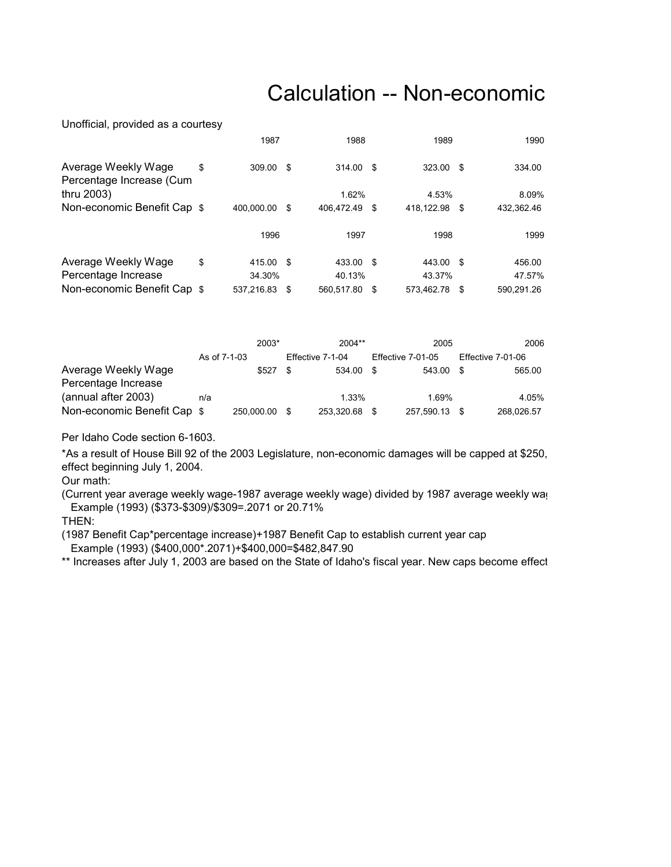## Calculation -- Non-economic

Unofficial, provided as a courtesy

|                                                 | 1987            |     | 1988          | 1989       |      | 1990       |  |
|-------------------------------------------------|-----------------|-----|---------------|------------|------|------------|--|
| Average Weekly Wage<br>Percentage Increase (Cum | \$<br>309.00 \$ |     | 314.00 \$     | 323.00     | - \$ | 334.00     |  |
| thru 2003)                                      |                 |     | 1.62%         | 4.53%      |      | 8.09%      |  |
| Non-economic Benefit Cap \$                     | 400.000.00      | -\$ | 406.472.49 \$ | 418.122.98 | - \$ | 432,362.46 |  |
|                                                 | 1996            |     | 1997          | 1998       |      | 1999       |  |
| Average Weekly Wage                             | \$<br>415.00 \$ |     | 433.00 \$     | 443.00     | - \$ | 456.00     |  |
| Percentage Increase                             | 34.30%          |     | 40.13%        | 43.37%     |      | 47.57%     |  |
| Non-economic Benefit Cap \$                     | 537.216.83 \$   |     | 560.517.80 \$ | 573.462.78 | - \$ | 590.291.26 |  |

|                             |              | 2003*         |     | $2004**$         | 2005              |      | 2006              |
|-----------------------------|--------------|---------------|-----|------------------|-------------------|------|-------------------|
|                             | As of 7-1-03 |               |     | Effective 7-1-04 | Effective 7-01-05 |      | Effective 7-01-06 |
| Average Weekly Wage         |              | \$527         | \$. | 534.00 \$        | 543.00            | - \$ | 565.00            |
| Percentage Increase         |              |               |     |                  |                   |      |                   |
| (annual after 2003)         | n/a          |               |     | 1.33%            | 1.69%             |      | 4.05%             |
| Non-economic Benefit Cap \$ |              | 250,000.00 \$ |     | 253,320.68       | 257,590.13        |      | 268.026.57        |

Per Idaho Code section 6-1603.

\*As a result of House Bill 92 of the 2003 Legislature, non-economic damages will be capped at \$250, effect beginning July 1, 2004.

Our math:

(Current year average weekly wage-1987 average weekly wage) divided by 1987 average weekly wag Example (1993) (\$373-\$309)/\$309=.2071 or 20.71%

THEN:

(1987 Benefit Cap\*percentage increase)+1987 Benefit Cap to establish current year cap Example (1993) (\$400,000\*.2071)+\$400,000=\$482,847.90

\*\* Increases after July 1, 2003 are based on the State of Idaho's fiscal year. New caps become effect